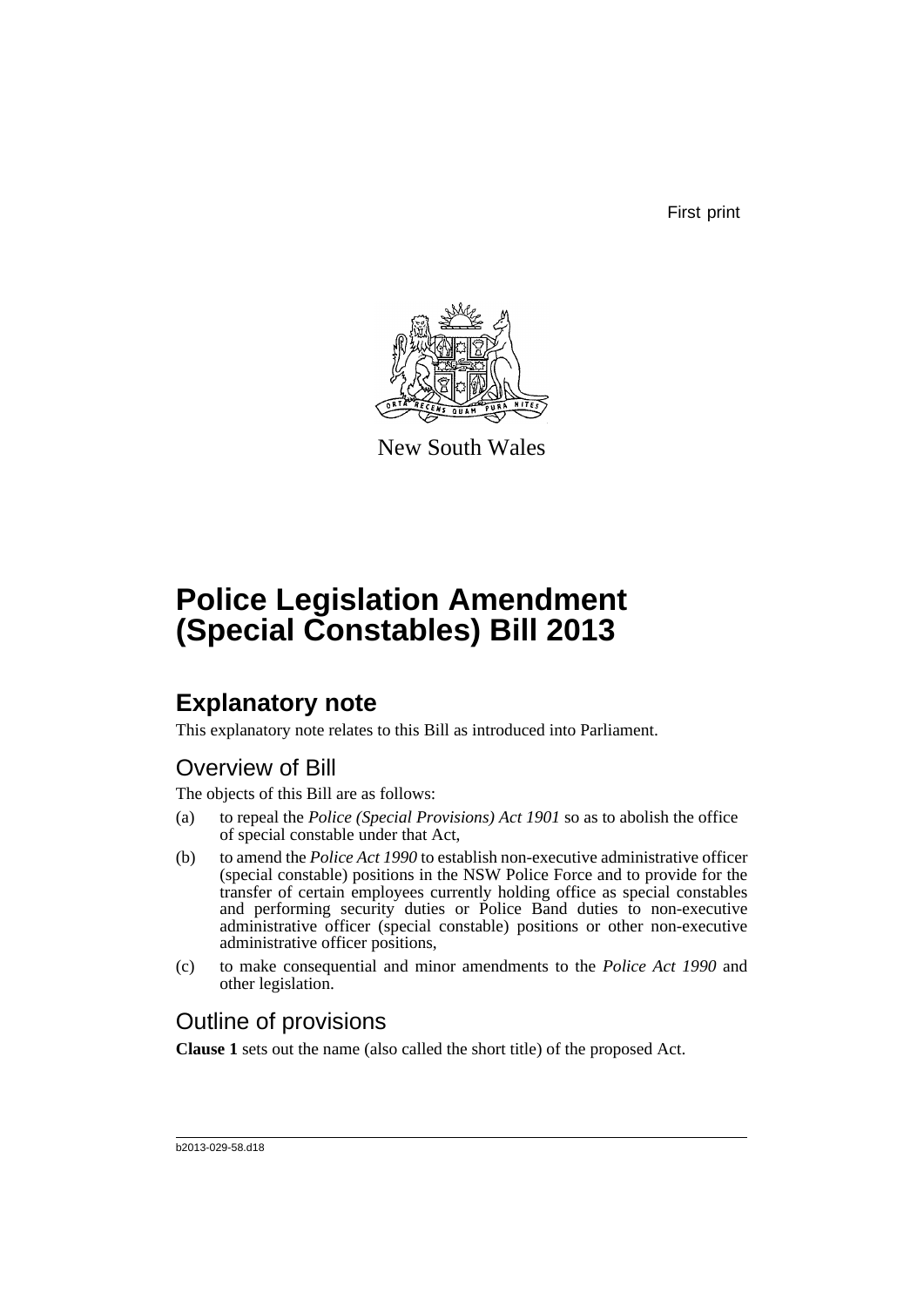First print



New South Wales

# **Police Legislation Amendment (Special Constables) Bill 2013**

## **Explanatory note**

This explanatory note relates to this Bill as introduced into Parliament.

## Overview of Bill

The objects of this Bill are as follows:

- (a) to repeal the *Police (Special Provisions) Act 1901* so as to abolish the office of special constable under that Act,
- (b) to amend the *Police Act 1990* to establish non-executive administrative officer (special constable) positions in the NSW Police Force and to provide for the transfer of certain employees currently holding office as special constables and performing security duties or Police Band duties to non-executive administrative officer (special constable) positions or other non-executive administrative officer positions,
- (c) to make consequential and minor amendments to the *Police Act 1990* and other legislation.

## Outline of provisions

**Clause 1** sets out the name (also called the short title) of the proposed Act.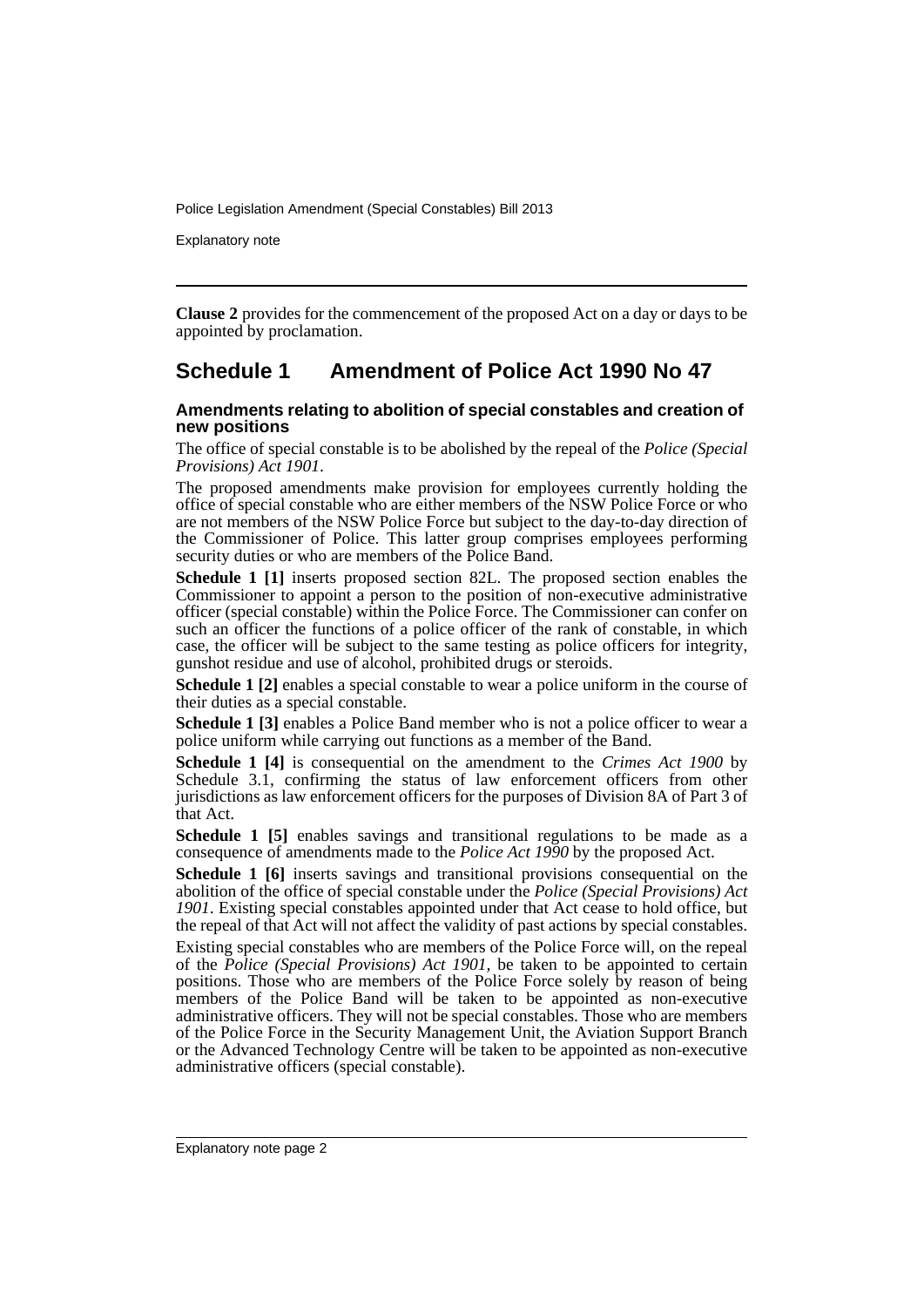Explanatory note

**Clause 2** provides for the commencement of the proposed Act on a day or days to be appointed by proclamation.

### **Schedule 1 Amendment of Police Act 1990 No 47**

#### **Amendments relating to abolition of special constables and creation of new positions**

The office of special constable is to be abolished by the repeal of the *Police (Special Provisions) Act 1901*.

The proposed amendments make provision for employees currently holding the office of special constable who are either members of the NSW Police Force or who are not members of the NSW Police Force but subject to the day-to-day direction of the Commissioner of Police. This latter group comprises employees performing security duties or who are members of the Police Band.

**Schedule 1 [1]** inserts proposed section 82L. The proposed section enables the Commissioner to appoint a person to the position of non-executive administrative officer (special constable) within the Police Force. The Commissioner can confer on such an officer the functions of a police officer of the rank of constable, in which case, the officer will be subject to the same testing as police officers for integrity, gunshot residue and use of alcohol, prohibited drugs or steroids.

**Schedule 1 [2]** enables a special constable to wear a police uniform in the course of their duties as a special constable.

**Schedule 1 [3]** enables a Police Band member who is not a police officer to wear a police uniform while carrying out functions as a member of the Band.

**Schedule 1 [4]** is consequential on the amendment to the *Crimes Act 1900* by Schedule 3.1, confirming the status of law enforcement officers from other jurisdictions as law enforcement officers for the purposes of Division 8A of Part 3 of that Act.

**Schedule 1 [5]** enables savings and transitional regulations to be made as a consequence of amendments made to the *Police Act 1990* by the proposed Act.

**Schedule 1 [6]** inserts savings and transitional provisions consequential on the abolition of the office of special constable under the *Police (Special Provisions) Act 1901*. Existing special constables appointed under that Act cease to hold office, but the repeal of that Act will not affect the validity of past actions by special constables.

Existing special constables who are members of the Police Force will, on the repeal of the *Police (Special Provisions) Act 1901,* be taken to be appointed to certain positions. Those who are members of the Police Force solely by reason of being members of the Police Band will be taken to be appointed as non-executive administrative officers. They will not be special constables. Those who are members of the Police Force in the Security Management Unit, the Aviation Support Branch or the Advanced Technology Centre will be taken to be appointed as non-executive administrative officers (special constable).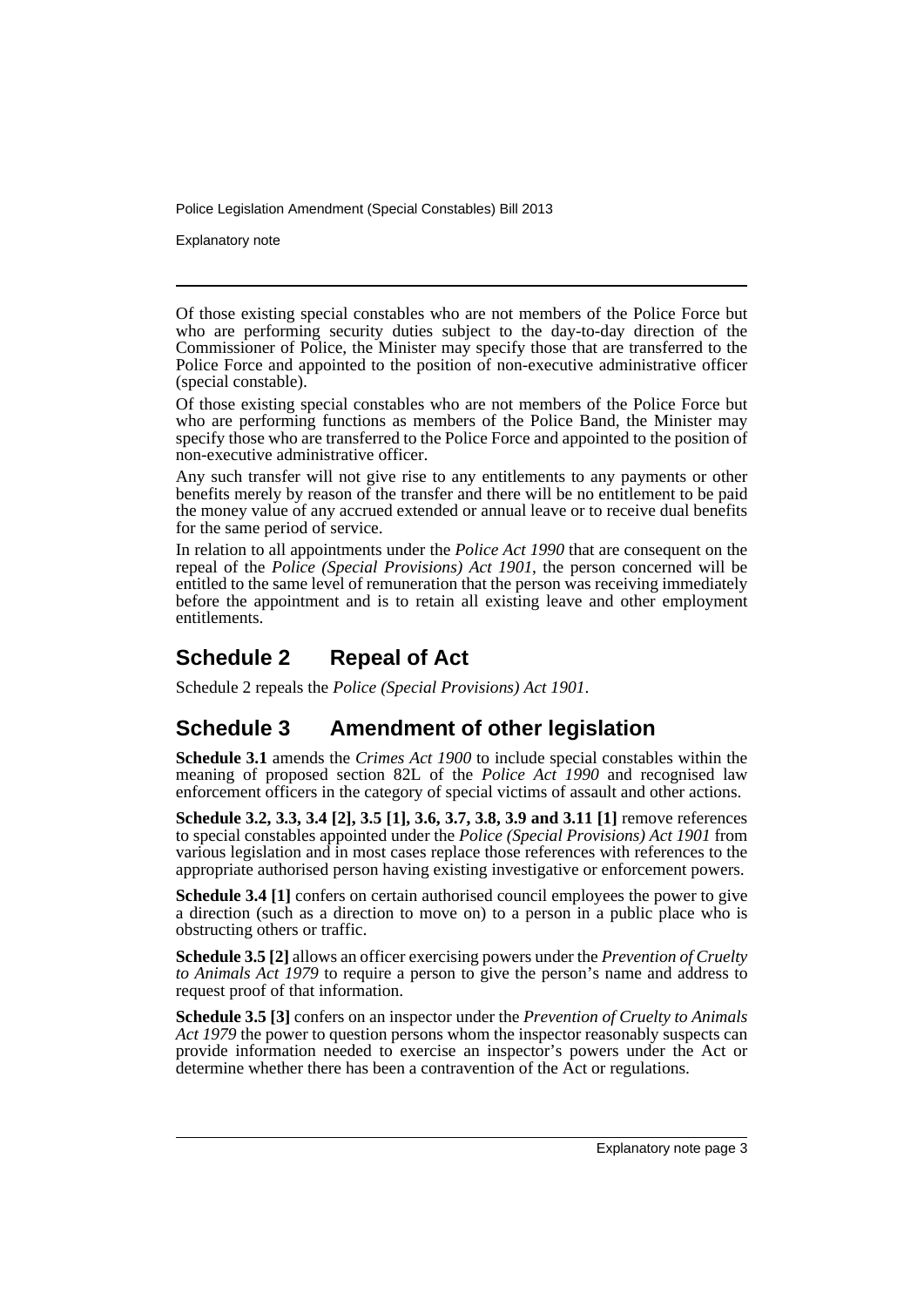Explanatory note

Of those existing special constables who are not members of the Police Force but who are performing security duties subject to the day-to-day direction of the Commissioner of Police, the Minister may specify those that are transferred to the Police Force and appointed to the position of non-executive administrative officer (special constable).

Of those existing special constables who are not members of the Police Force but who are performing functions as members of the Police Band, the Minister may specify those who are transferred to the Police Force and appointed to the position of non-executive administrative officer.

Any such transfer will not give rise to any entitlements to any payments or other benefits merely by reason of the transfer and there will be no entitlement to be paid the money value of any accrued extended or annual leave or to receive dual benefits for the same period of service.

In relation to all appointments under the *Police Act 1990* that are consequent on the repeal of the *Police (Special Provisions) Act 1901*, the person concerned will be entitled to the same level of remuneration that the person was receiving immediately before the appointment and is to retain all existing leave and other employment entitlements.

## **Schedule 2 Repeal of Act**

Schedule 2 repeals the *Police (Special Provisions) Act 1901*.

## **Schedule 3 Amendment of other legislation**

**Schedule 3.1** amends the *Crimes Act 1900* to include special constables within the meaning of proposed section 82L of the *Police Act 1990* and recognised law enforcement officers in the category of special victims of assault and other actions.

**Schedule 3.2, 3.3, 3.4 [2], 3.5 [1], 3.6, 3.7, 3.8, 3.9 and 3.11 [1]** remove references to special constables appointed under the *Police (Special Provisions) Act 1901* from various legislation and in most cases replace those references with references to the appropriate authorised person having existing investigative or enforcement powers.

**Schedule 3.4 [1]** confers on certain authorised council employees the power to give a direction (such as a direction to move on) to a person in a public place who is obstructing others or traffic.

**Schedule 3.5 [2]** allows an officer exercising powers under the *Prevention of Cruelty to Animals Act 1979* to require a person to give the person's name and address to request proof of that information.

**Schedule 3.5 [3]** confers on an inspector under the *Prevention of Cruelty to Animals Act 1979* the power to question persons whom the inspector reasonably suspects can provide information needed to exercise an inspector's powers under the Act or determine whether there has been a contravention of the Act or regulations.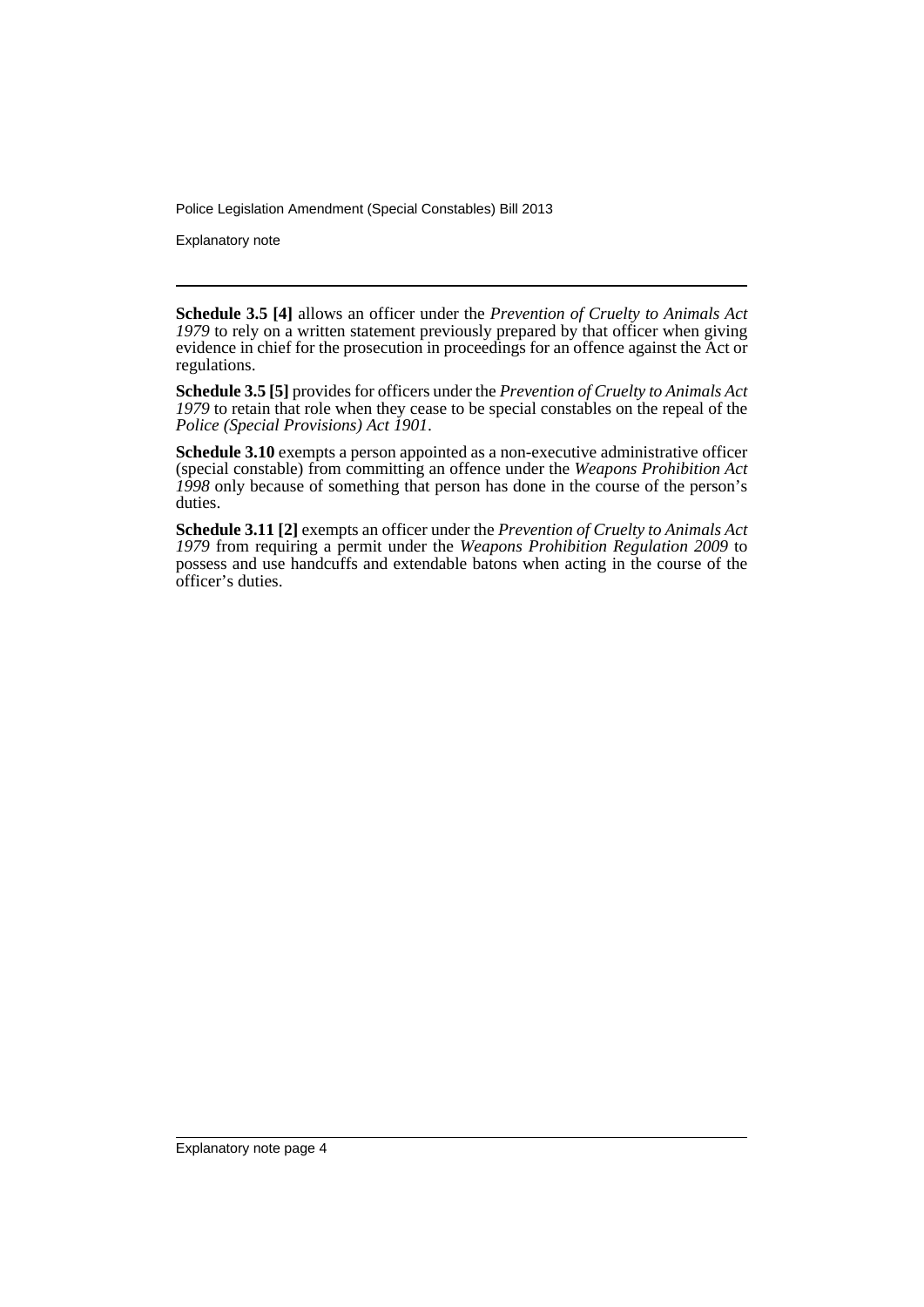Explanatory note

**Schedule 3.5 [4]** allows an officer under the *Prevention of Cruelty to Animals Act 1979* to rely on a written statement previously prepared by that officer when giving evidence in chief for the prosecution in proceedings for an offence against the Act or regulations.

**Schedule 3.5 [5]** provides for officers under the *Prevention of Cruelty to Animals Act 1979* to retain that role when they cease to be special constables on the repeal of the *Police (Special Provisions) Act 1901*.

**Schedule 3.10** exempts a person appointed as a non-executive administrative officer (special constable) from committing an offence under the *Weapons Prohibition Act 1998* only because of something that person has done in the course of the person's duties.

**Schedule 3.11 [2]** exempts an officer under the *Prevention of Cruelty to Animals Act 1979* from requiring a permit under the *Weapons Prohibition Regulation 2009* to possess and use handcuffs and extendable batons when acting in the course of the officer's duties.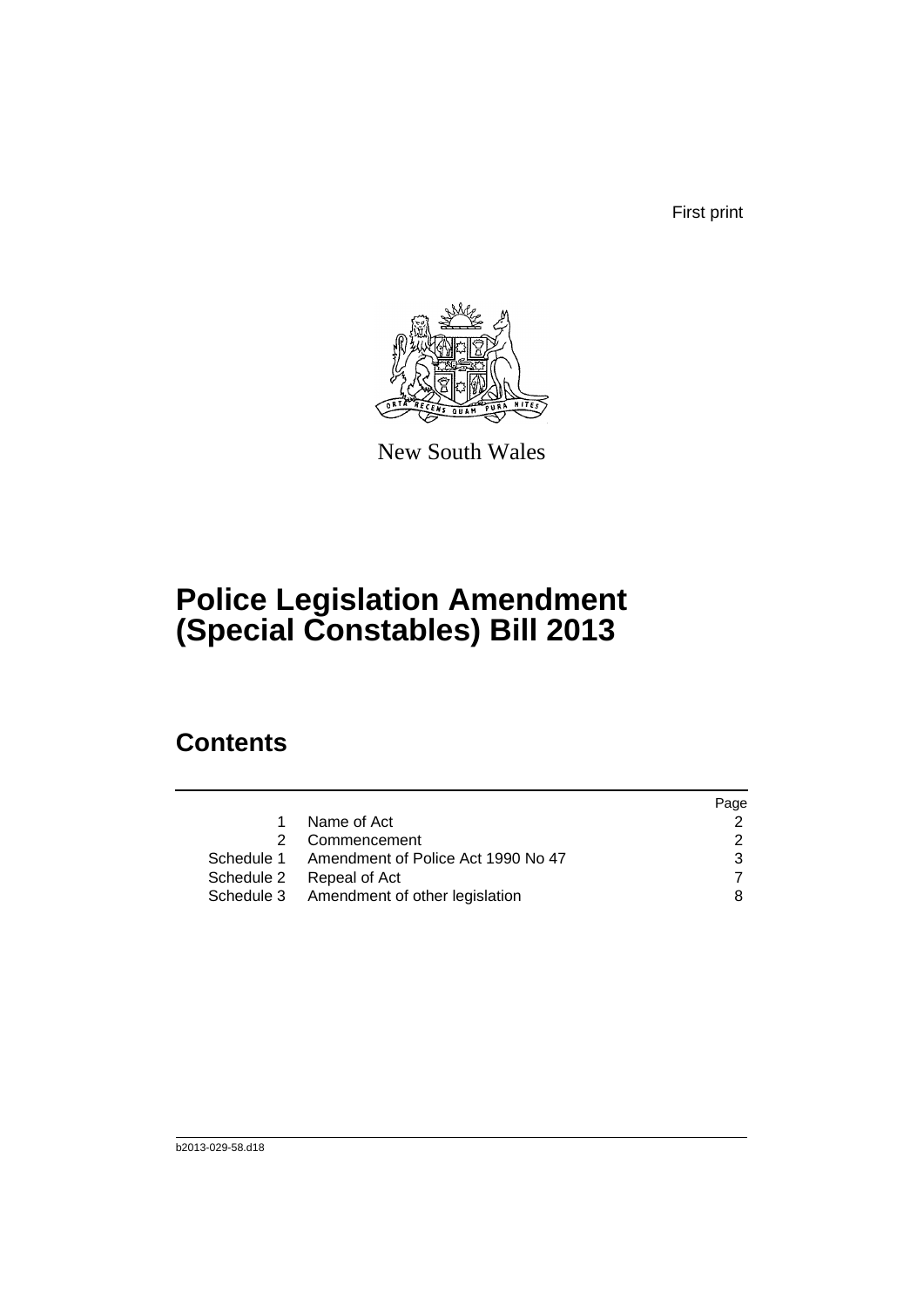First print



New South Wales

# **Police Legislation Amendment (Special Constables) Bill 2013**

## **Contents**

|                                               | Page          |
|-----------------------------------------------|---------------|
| Name of Act<br>$\mathbf 1$                    |               |
| 2 Commencement                                | $\mathcal{P}$ |
| Schedule 1 Amendment of Police Act 1990 No 47 |               |
| Schedule 2 Repeal of Act                      |               |
| Schedule 3 Amendment of other legislation     | 8             |
|                                               |               |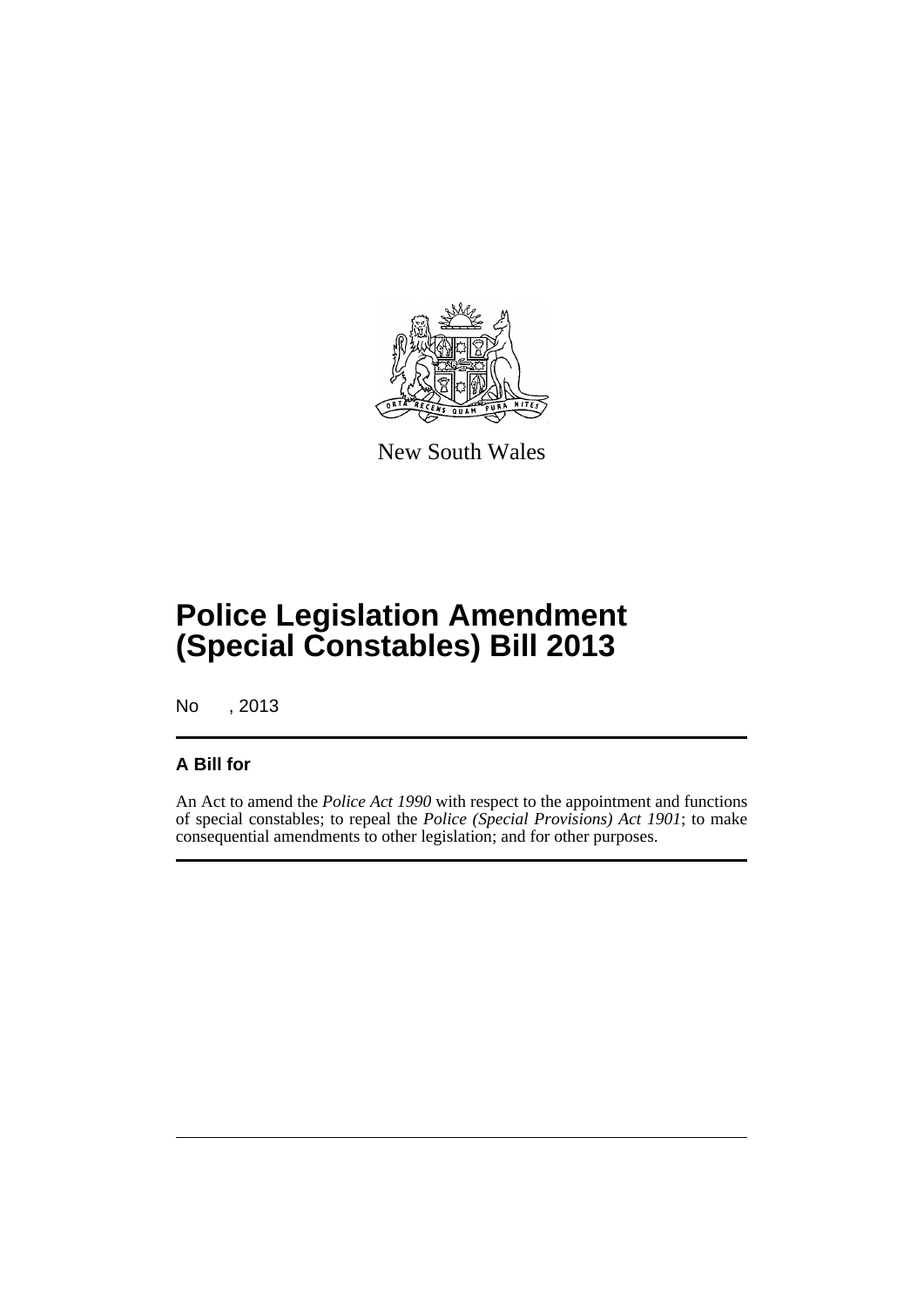

New South Wales

# **Police Legislation Amendment (Special Constables) Bill 2013**

No , 2013

#### **A Bill for**

An Act to amend the *Police Act 1990* with respect to the appointment and functions of special constables; to repeal the *Police (Special Provisions) Act 1901*; to make consequential amendments to other legislation; and for other purposes.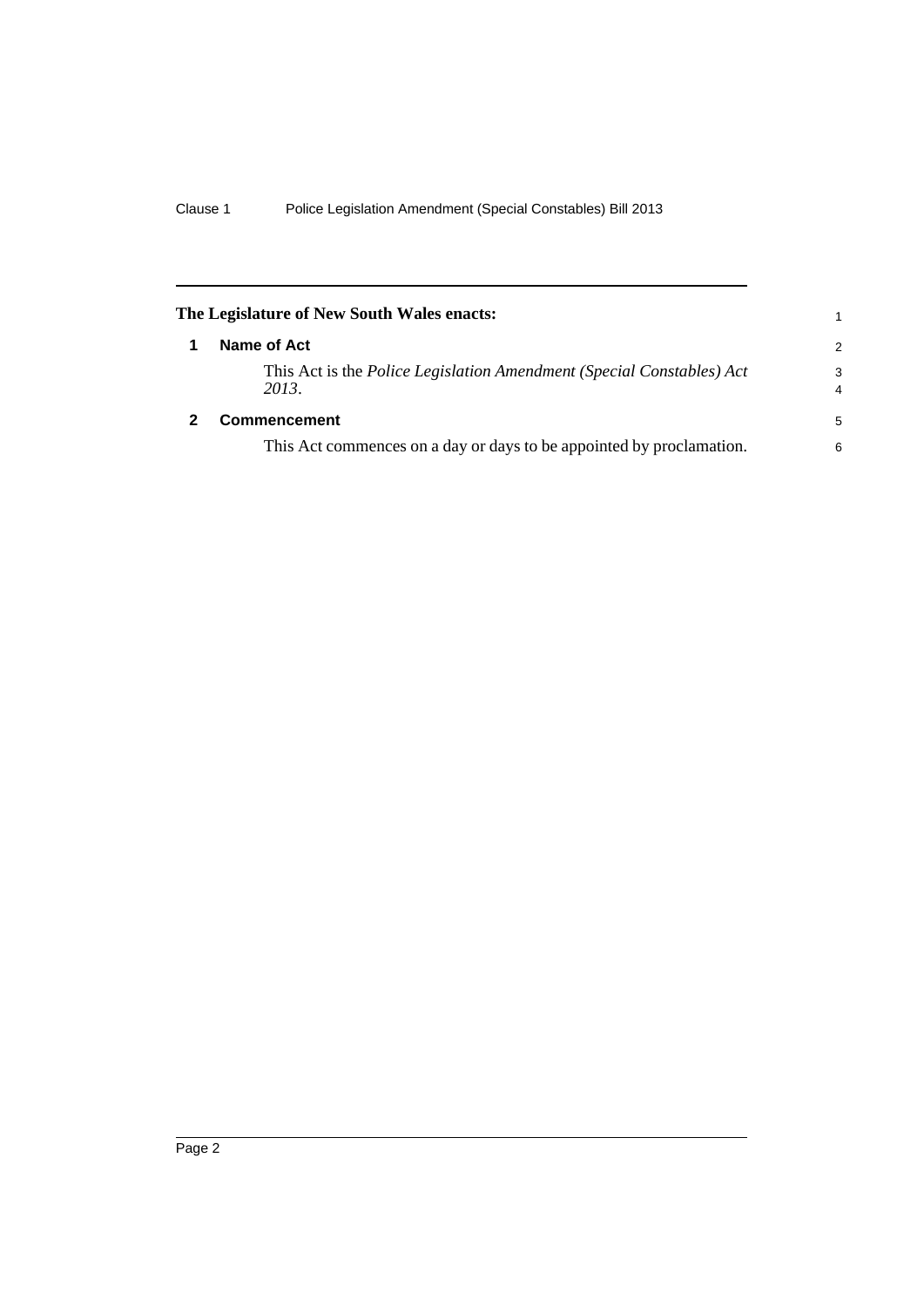<span id="page-7-1"></span><span id="page-7-0"></span>

|   | The Legislature of New South Wales enacts:                                            | 1             |
|---|---------------------------------------------------------------------------------------|---------------|
|   | Name of Act                                                                           | $\mathcal{P}$ |
|   | This Act is the <i>Police Legislation Amendment (Special Constables) Act</i><br>2013. | 3<br>4        |
| 2 | <b>Commencement</b>                                                                   | 5             |
|   | This Act commences on a day or days to be appointed by proclamation.                  | 6             |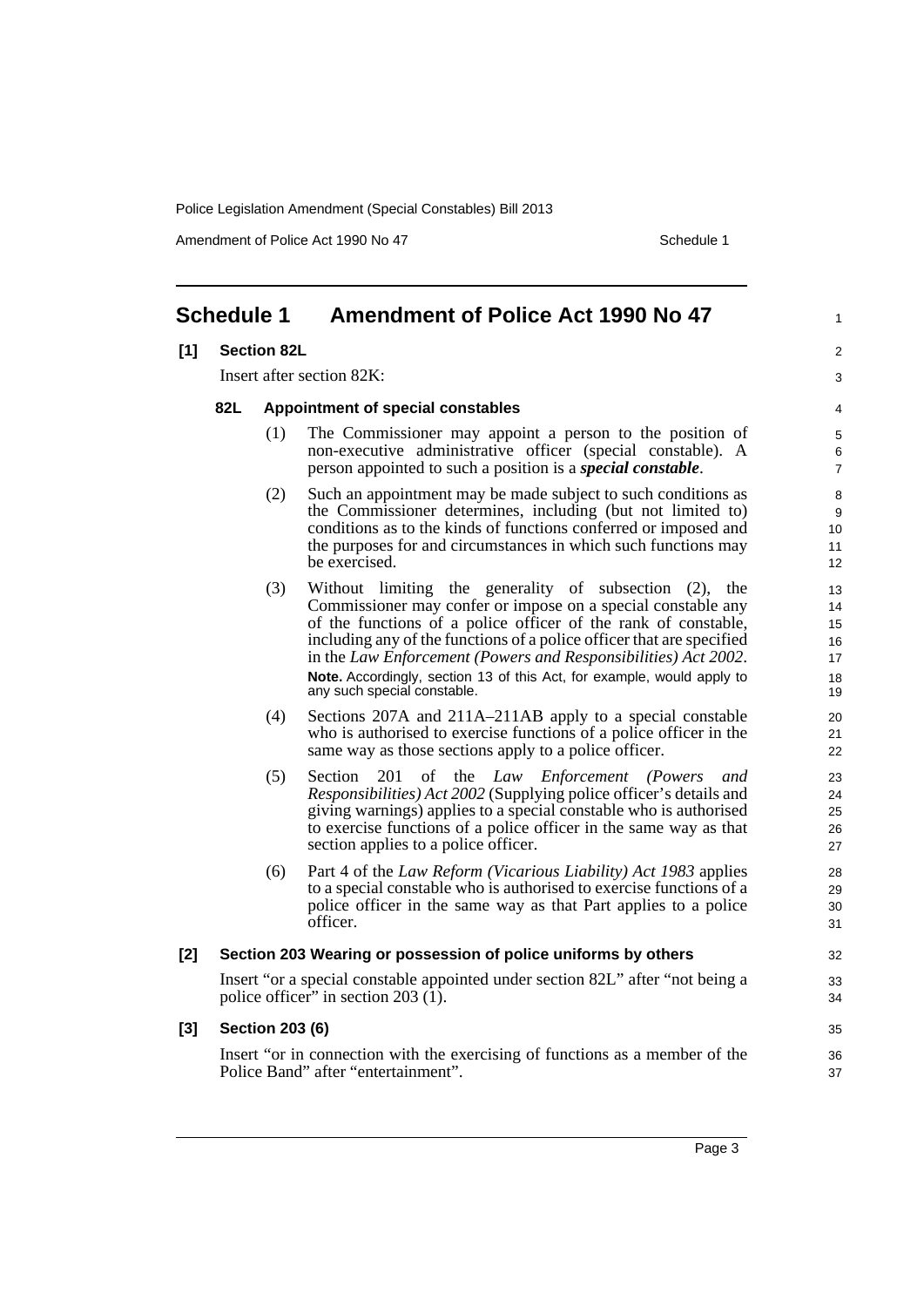Amendment of Police Act 1990 No 47 Schedule 1

1

4

#### <span id="page-8-0"></span>**Schedule 1 Amendment of Police Act 1990 No 47 [1] Section 82L** Insert after section 82K: **82L Appointment of special constables** (1) The Commissioner may appoint a person to the position of non-executive administrative officer (special constable). A person appointed to such a position is a *special constable*. (2) Such an appointment may be made subject to such conditions as the Commissioner determines, including (but not limited to) conditions as to the kinds of functions conferred or imposed and the purposes for and circumstances in which such functions may be exercised. (3) Without limiting the generality of subsection (2), the Commissioner may confer or impose on a special constable any of the functions of a police officer of the rank of constable, including any of the functions of a police officer that are specified in the *Law Enforcement (Powers and Responsibilities) Act 2002*. **Note.** Accordingly, section 13 of this Act, for example, would apply to any such special constable. (4) Sections 207A and 211A–211AB apply to a special constable who is authorised to exercise functions of a police officer in the same way as those sections apply to a police officer. (5) Section 201 of the *Law Enforcement (Powers and Responsibilities) Act 2002* (Supplying police officer's details and giving warnings) applies to a special constable who is authorised to exercise functions of a police officer in the same way as that section applies to a police officer. (6) Part 4 of the *Law Reform (Vicarious Liability) Act 1983* applies to a special constable who is authorised to exercise functions of a police officer in the same way as that Part applies to a police officer. **[2] Section 203 Wearing or possession of police uniforms by others** Insert "or a special constable appointed under section 82L" after "not being a police officer" in section 203 $(1)$ . **[3] Section 203 (6)** Insert "or in connection with the exercising of functions as a member of the Police Band" after "entertainment".  $\overline{2}$ 3 5 6 7 8 9 10 11 12 13 14 15 16 17 18 19  $20$ 21 22  $23$  $24$ 25 26 27 28 29 30 31 32 33 34 35 36 37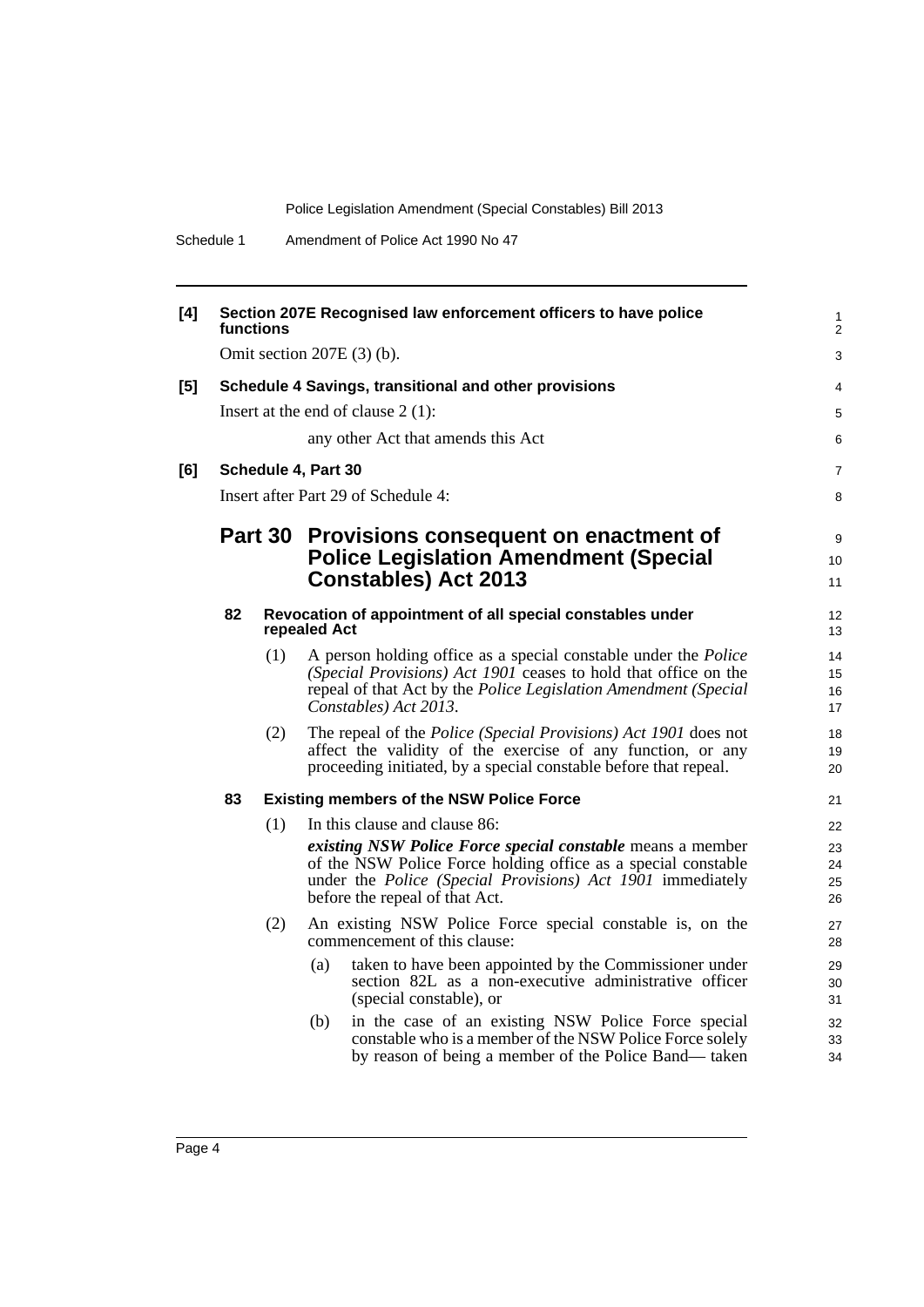| [4] | Section 207E Recognised law enforcement officers to have police<br>functions |         |                                                                                                                                                                                                                                                                              |                            |  |  |
|-----|------------------------------------------------------------------------------|---------|------------------------------------------------------------------------------------------------------------------------------------------------------------------------------------------------------------------------------------------------------------------------------|----------------------------|--|--|
|     | Omit section $207E(3)$ (b).                                                  |         |                                                                                                                                                                                                                                                                              |                            |  |  |
| [5] | Schedule 4 Savings, transitional and other provisions                        |         |                                                                                                                                                                                                                                                                              |                            |  |  |
|     |                                                                              |         | Insert at the end of clause $2(1)$ :                                                                                                                                                                                                                                         | 5                          |  |  |
|     |                                                                              |         | any other Act that amends this Act                                                                                                                                                                                                                                           | 6                          |  |  |
| [6] |                                                                              |         | Schedule 4, Part 30                                                                                                                                                                                                                                                          | $\overline{7}$             |  |  |
|     |                                                                              |         | Insert after Part 29 of Schedule 4:                                                                                                                                                                                                                                          | 8                          |  |  |
|     |                                                                              | Part 30 | Provisions consequent on enactment of<br><b>Police Legislation Amendment (Special</b><br><b>Constables) Act 2013</b>                                                                                                                                                         | 9<br>10<br>11              |  |  |
|     | 82                                                                           |         | Revocation of appointment of all special constables under<br>repealed Act                                                                                                                                                                                                    | 12<br>13                   |  |  |
|     |                                                                              | (1)     | A person holding office as a special constable under the <i>Police</i><br>(Special Provisions) Act 1901 ceases to hold that office on the<br>repeal of that Act by the Police Legislation Amendment (Special<br>Constables) Act 2013.                                        | 14<br>15<br>16<br>17       |  |  |
|     |                                                                              | (2)     | The repeal of the <i>Police</i> ( <i>Special Provisions</i> ) Act 1901 does not<br>affect the validity of the exercise of any function, or any<br>proceeding initiated, by a special constable before that repeal.                                                           | 18<br>19<br>20             |  |  |
|     | 83                                                                           |         | <b>Existing members of the NSW Police Force</b>                                                                                                                                                                                                                              | 21                         |  |  |
|     |                                                                              | (1)     | In this clause and clause 86:<br>existing NSW Police Force special constable means a member<br>of the NSW Police Force holding office as a special constable<br>under the <i>Police</i> ( <i>Special Provisions</i> ) Act 1901 immediately<br>before the repeal of that Act. | 22<br>23<br>24<br>25<br>26 |  |  |
|     |                                                                              | (2)     | An existing NSW Police Force special constable is, on the<br>commencement of this clause:                                                                                                                                                                                    | 27<br>28                   |  |  |
|     |                                                                              |         | taken to have been appointed by the Commissioner under<br>(a)<br>section 82L as a non-executive administrative officer<br>(special constable), or                                                                                                                            | 29<br>30<br>31             |  |  |
|     |                                                                              |         | in the case of an existing NSW Police Force special<br>(b)<br>constable who is a member of the NSW Police Force solely<br>by reason of being a member of the Police Band— taken                                                                                              | 32<br>33<br>34             |  |  |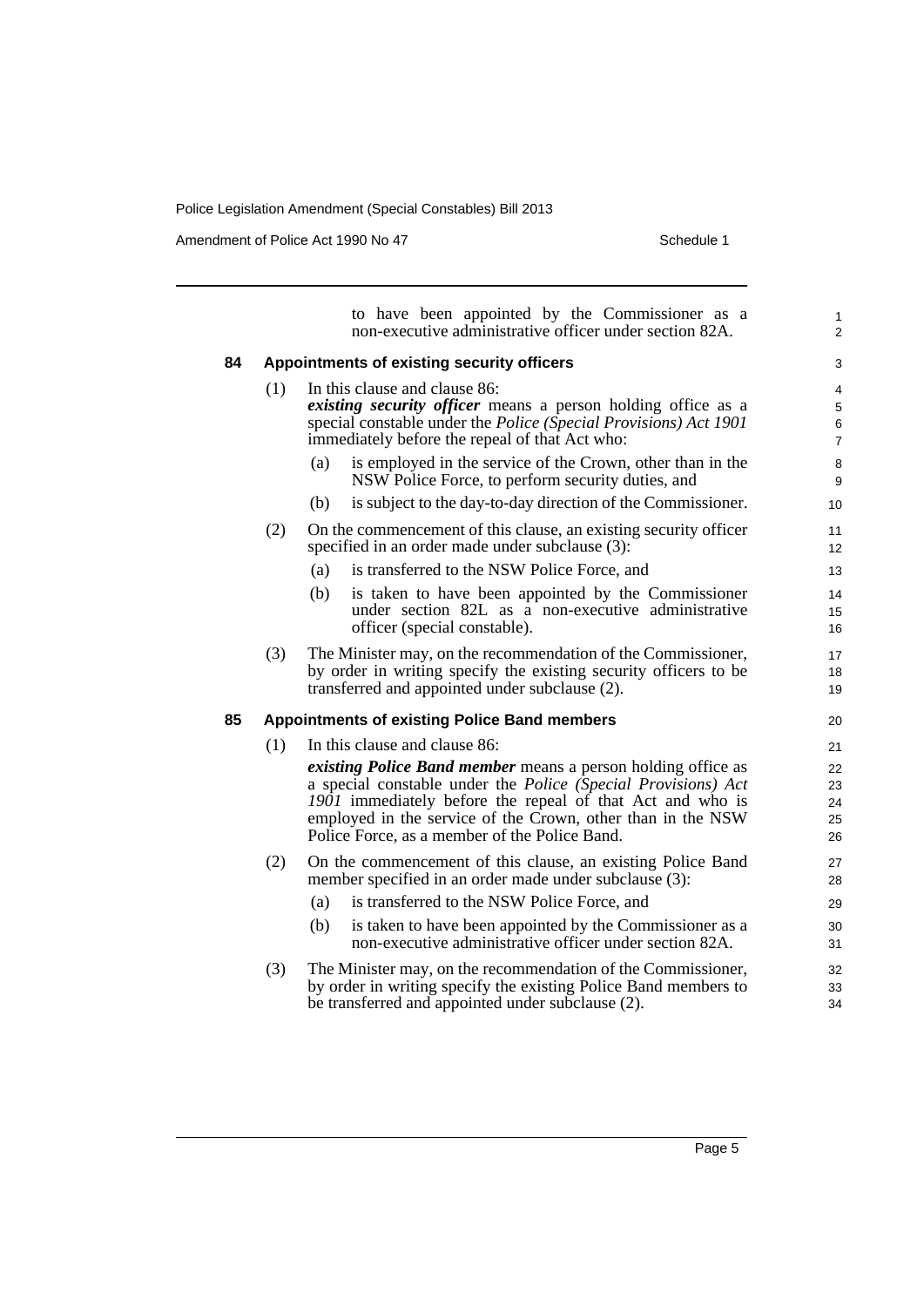Amendment of Police Act 1990 No 47 Schedule 1

|    |     | to have been appointed by the Commissioner as a<br>non-executive administrative officer under section 82A.                                                                                                                                                                                                        | 1<br>2                        |  |  |  |
|----|-----|-------------------------------------------------------------------------------------------------------------------------------------------------------------------------------------------------------------------------------------------------------------------------------------------------------------------|-------------------------------|--|--|--|
| 84 |     | Appointments of existing security officers                                                                                                                                                                                                                                                                        | 3                             |  |  |  |
|    | (1) | In this clause and clause 86:<br>existing security officer means a person holding office as a<br>special constable under the Police (Special Provisions) Act 1901<br>immediately before the repeal of that Act who:                                                                                               | 4<br>5<br>6<br>$\overline{7}$ |  |  |  |
|    |     | is employed in the service of the Crown, other than in the<br>(a)<br>NSW Police Force, to perform security duties, and                                                                                                                                                                                            | 8<br>9                        |  |  |  |
|    |     | is subject to the day-to-day direction of the Commissioner.<br>(b)                                                                                                                                                                                                                                                | 10                            |  |  |  |
|    | (2) | On the commencement of this clause, an existing security officer<br>specified in an order made under subclause (3):                                                                                                                                                                                               | 11<br>12                      |  |  |  |
|    |     | is transferred to the NSW Police Force, and<br>(a)                                                                                                                                                                                                                                                                | 13                            |  |  |  |
|    |     | (b)<br>is taken to have been appointed by the Commissioner<br>under section 82L as a non-executive administrative<br>officer (special constable).                                                                                                                                                                 | 14<br>15<br>16                |  |  |  |
|    | (3) | The Minister may, on the recommendation of the Commissioner,<br>by order in writing specify the existing security officers to be<br>transferred and appointed under subclause (2).                                                                                                                                | 17<br>18<br>19                |  |  |  |
| 85 |     | <b>Appointments of existing Police Band members</b>                                                                                                                                                                                                                                                               | 20                            |  |  |  |
|    | (1) | In this clause and clause 86:                                                                                                                                                                                                                                                                                     |                               |  |  |  |
|    |     | <i>existing Police Band member</i> means a person holding office as<br>a special constable under the Police (Special Provisions) Act<br>1901 immediately before the repeal of that Act and who is<br>employed in the service of the Crown, other than in the NSW<br>Police Force, as a member of the Police Band. |                               |  |  |  |
|    | (2) | On the commencement of this clause, an existing Police Band<br>member specified in an order made under subclause (3):                                                                                                                                                                                             | 27<br>28                      |  |  |  |
|    |     | is transferred to the NSW Police Force, and<br>(a)                                                                                                                                                                                                                                                                | 29                            |  |  |  |
|    |     | (b)<br>is taken to have been appointed by the Commissioner as a<br>non-executive administrative officer under section 82A.                                                                                                                                                                                        | 30<br>31                      |  |  |  |
|    | (3) | The Minister may, on the recommendation of the Commissioner,<br>by order in writing specify the existing Police Band members to<br>be transferred and appointed under subclause (2).                                                                                                                              | 32<br>33<br>34                |  |  |  |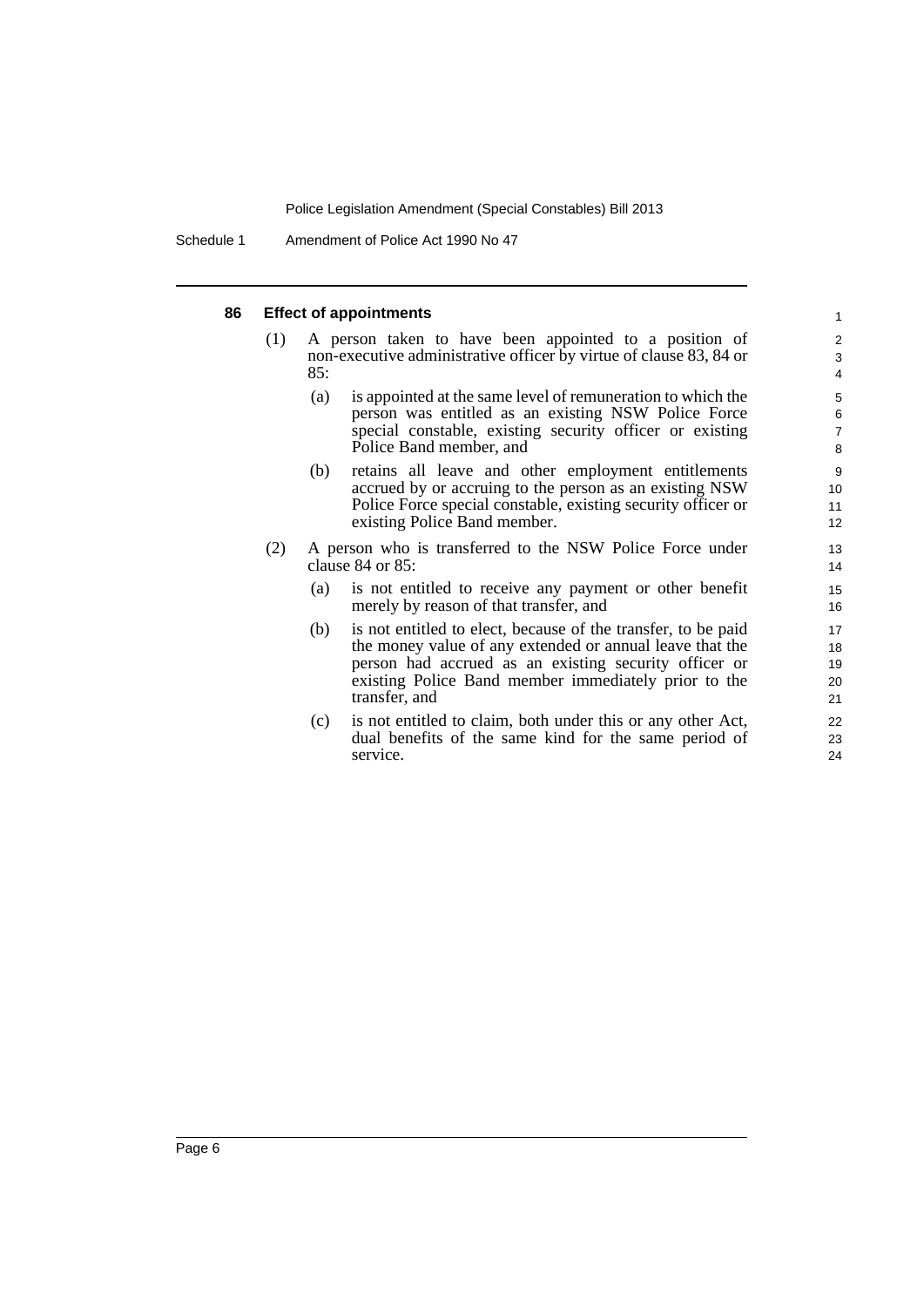Schedule 1 Amendment of Police Act 1990 No 47

#### **86 Effect of appointments**

- (1) A person taken to have been appointed to a position of non-executive administrative officer by virtue of clause 83, 84 or 85:
	- (a) is appointed at the same level of remuneration to which the person was entitled as an existing NSW Police Force special constable, existing security officer or existing Police Band member, and

- (b) retains all leave and other employment entitlements accrued by or accruing to the person as an existing NSW Police Force special constable, existing security officer or existing Police Band member.
- (2) A person who is transferred to the NSW Police Force under clause 84 or 85:
	- (a) is not entitled to receive any payment or other benefit merely by reason of that transfer, and
	- (b) is not entitled to elect, because of the transfer, to be paid the money value of any extended or annual leave that the person had accrued as an existing security officer or existing Police Band member immediately prior to the transfer, and
	- (c) is not entitled to claim, both under this or any other Act, dual benefits of the same kind for the same period of service.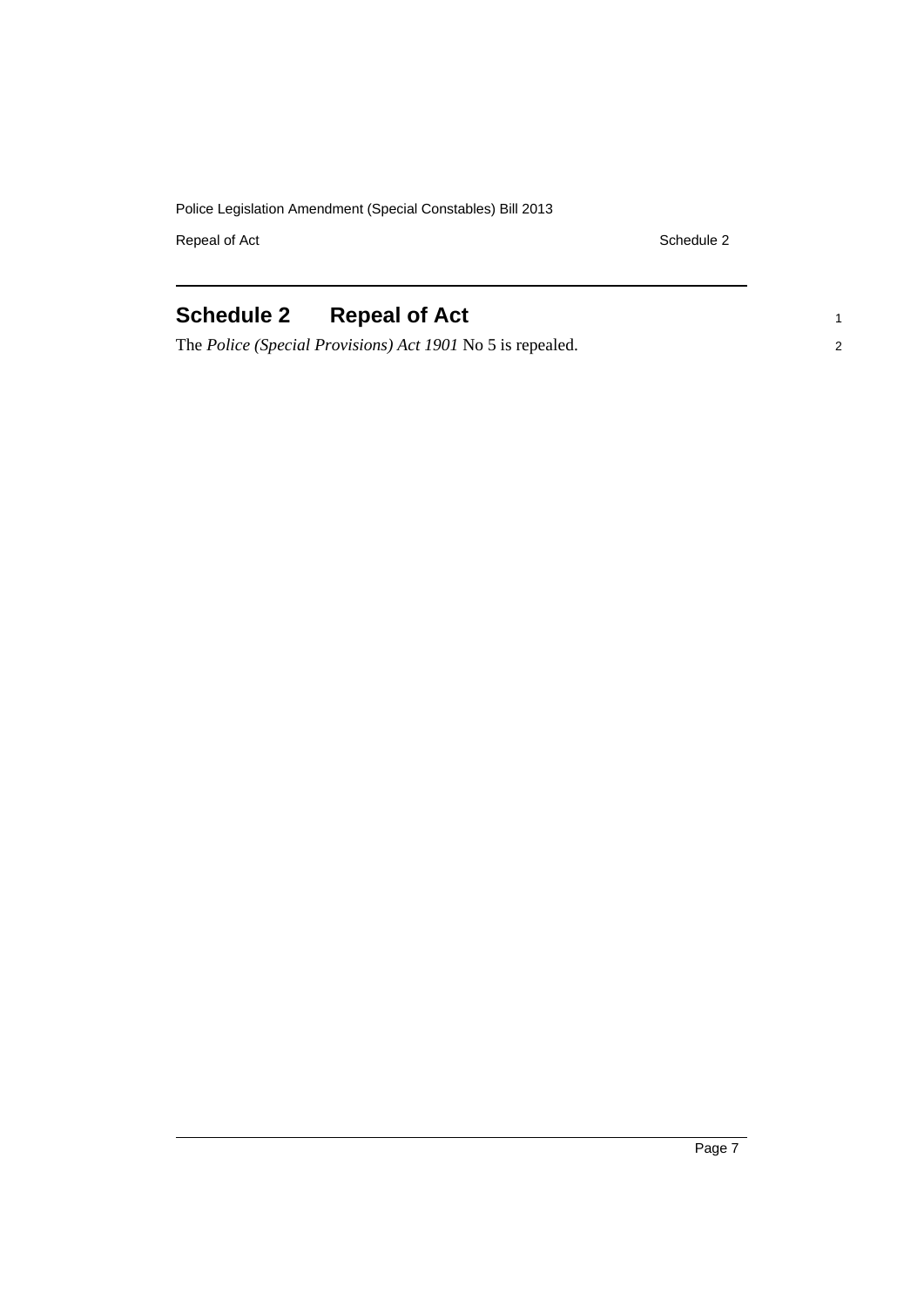Repeal of Act Schedule 2

1 2

## <span id="page-12-0"></span>**Schedule 2 Repeal of Act**

The *Police (Special Provisions) Act 1901* No 5 is repealed.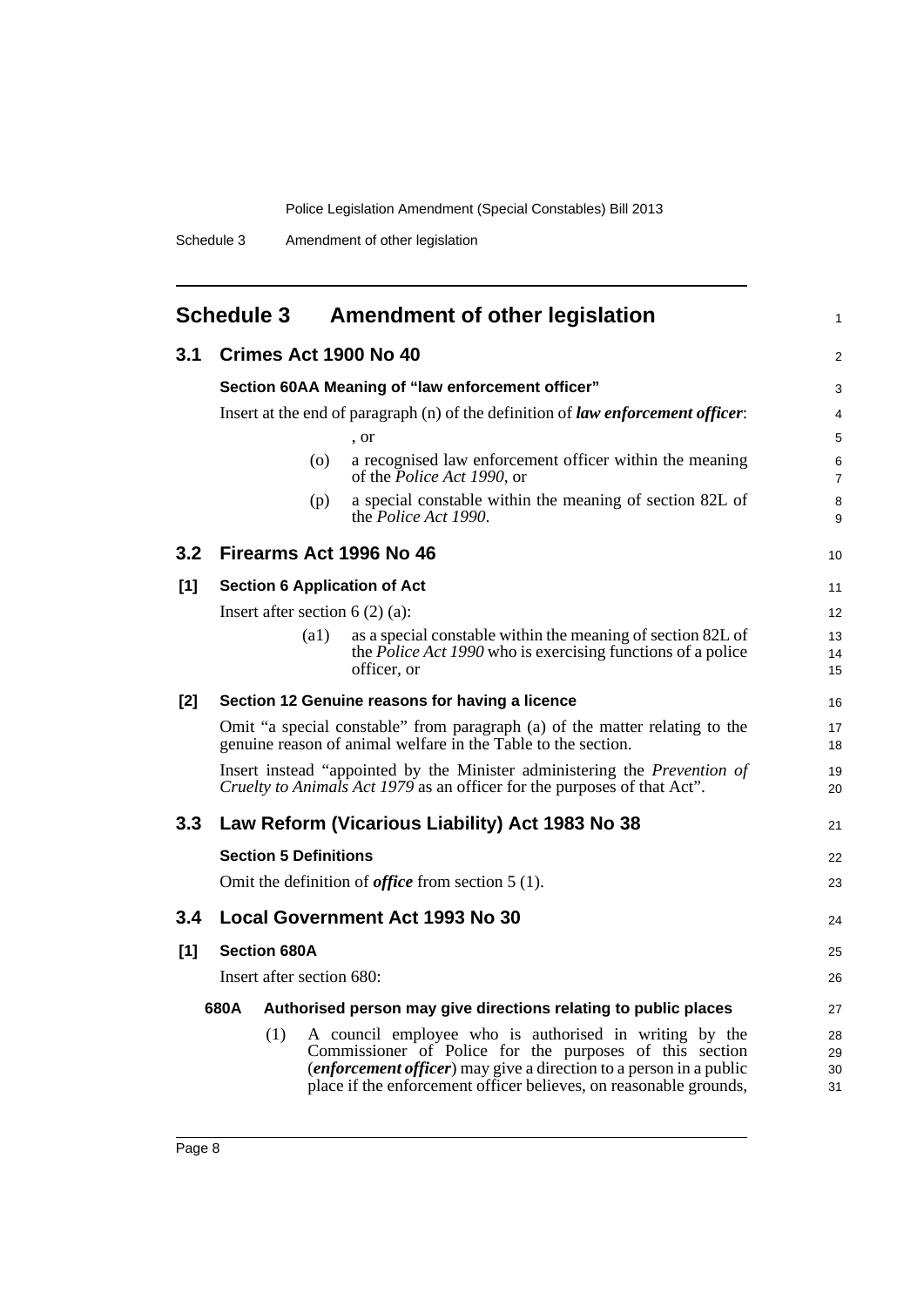<span id="page-13-0"></span>

|       | <b>Schedule 3</b>                                                                | <b>Amendment of other legislation</b>                                                                                                                 | 1                   |  |  |  |
|-------|----------------------------------------------------------------------------------|-------------------------------------------------------------------------------------------------------------------------------------------------------|---------------------|--|--|--|
| 3.1   | Crimes Act 1900 No 40                                                            |                                                                                                                                                       |                     |  |  |  |
|       |                                                                                  | Section 60AA Meaning of "law enforcement officer"                                                                                                     | 3                   |  |  |  |
|       | Insert at the end of paragraph (n) of the definition of law enforcement officer: |                                                                                                                                                       |                     |  |  |  |
|       |                                                                                  | , or                                                                                                                                                  | 5                   |  |  |  |
|       |                                                                                  | a recognised law enforcement officer within the meaning<br>(0)<br>of the <i>Police Act 1990</i> , or                                                  | 6<br>$\overline{7}$ |  |  |  |
|       |                                                                                  | a special constable within the meaning of section 82L of<br>(p)<br>the <i>Police Act 1990</i> .                                                       | 8<br>9              |  |  |  |
| 3.2   |                                                                                  | Firearms Act 1996 No 46                                                                                                                               | 10                  |  |  |  |
| [1]   |                                                                                  | <b>Section 6 Application of Act</b>                                                                                                                   | 11                  |  |  |  |
|       | Insert after section $6(2)(a)$ :                                                 |                                                                                                                                                       | 12                  |  |  |  |
|       | (a1)                                                                             | as a special constable within the meaning of section 82L of                                                                                           | 13                  |  |  |  |
|       |                                                                                  | the <i>Police Act 1990</i> who is exercising functions of a police<br>officer, or                                                                     | 14<br>15            |  |  |  |
| $[2]$ |                                                                                  | Section 12 Genuine reasons for having a licence                                                                                                       | 16                  |  |  |  |
|       |                                                                                  | Omit "a special constable" from paragraph (a) of the matter relating to the<br>genuine reason of animal welfare in the Table to the section.          | 17<br>18            |  |  |  |
|       |                                                                                  | Insert instead "appointed by the Minister administering the Prevention of<br>Cruelty to Animals Act 1979 as an officer for the purposes of that Act". | 19<br>20            |  |  |  |
| 3.3   |                                                                                  | Law Reform (Vicarious Liability) Act 1983 No 38                                                                                                       | 21                  |  |  |  |
|       | <b>Section 5 Definitions</b>                                                     |                                                                                                                                                       | 22                  |  |  |  |
|       |                                                                                  | Omit the definition of <i>office</i> from section $5(1)$ .                                                                                            | 23                  |  |  |  |
| 3.4   |                                                                                  | <b>Local Government Act 1993 No 30</b>                                                                                                                | 24                  |  |  |  |
| $[1]$ | <b>Section 680A</b>                                                              |                                                                                                                                                       | 25                  |  |  |  |
|       | Insert after section 680:                                                        |                                                                                                                                                       | 26                  |  |  |  |
|       | 680A<br>Authorised person may give directions relating to public places          |                                                                                                                                                       |                     |  |  |  |
|       | (1)                                                                              | A council employee who is authorised in writing by the                                                                                                | 28                  |  |  |  |
|       |                                                                                  | Commissioner of Police for the purposes of this section                                                                                               | 29                  |  |  |  |
|       |                                                                                  | <i>(enforcement officer)</i> may give a direction to a person in a public<br>place if the enforcement officer believes, on reasonable grounds,        | 30<br>31            |  |  |  |
|       |                                                                                  |                                                                                                                                                       |                     |  |  |  |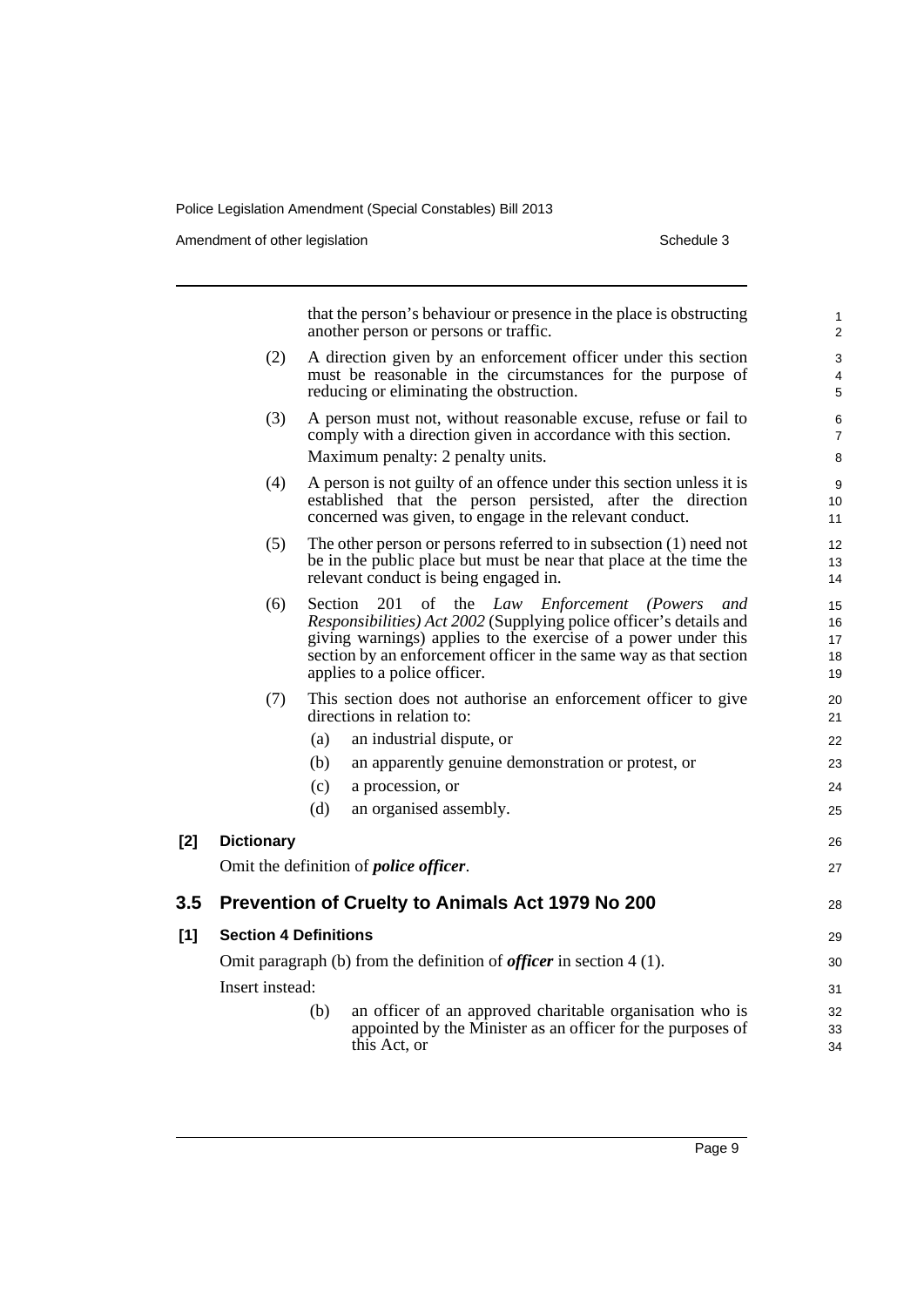Amendment of other legislation Schedule 3

 $[2]$ 

 $[1]$ 

|       |                                                                              |         | that the person's behaviour or presence in the place is obstructing<br>another person or persons or traffic.                                                                                                                                                                                                | 1<br>$\overline{c}$        |  |
|-------|------------------------------------------------------------------------------|---------|-------------------------------------------------------------------------------------------------------------------------------------------------------------------------------------------------------------------------------------------------------------------------------------------------------------|----------------------------|--|
|       | (2)                                                                          |         | A direction given by an enforcement officer under this section<br>must be reasonable in the circumstances for the purpose of<br>reducing or eliminating the obstruction.                                                                                                                                    | 3<br>4<br>5                |  |
|       | (3)                                                                          |         | A person must not, without reasonable excuse, refuse or fail to<br>comply with a direction given in accordance with this section.<br>Maximum penalty: 2 penalty units.                                                                                                                                      | 6<br>$\overline{7}$<br>8   |  |
|       | (4)                                                                          |         | A person is not guilty of an offence under this section unless it is<br>established that the person persisted, after the direction<br>concerned was given, to engage in the relevant conduct.                                                                                                               | 9<br>10<br>11              |  |
|       | (5)                                                                          |         | The other person or persons referred to in subsection $(1)$ need not<br>be in the public place but must be near that place at the time the<br>relevant conduct is being engaged in.                                                                                                                         | 12<br>13<br>14             |  |
|       | (6)                                                                          | Section | 201<br>of the <i>Law Enforcement</i><br><i>(Powers)</i><br>and<br>Responsibilities) Act 2002 (Supplying police officer's details and<br>giving warnings) applies to the exercise of a power under this<br>section by an enforcement officer in the same way as that section<br>applies to a police officer. | 15<br>16<br>17<br>18<br>19 |  |
|       | (7)                                                                          |         | This section does not authorise an enforcement officer to give<br>directions in relation to:                                                                                                                                                                                                                | 20<br>21                   |  |
|       |                                                                              | (a)     | an industrial dispute, or                                                                                                                                                                                                                                                                                   | 22                         |  |
|       |                                                                              | (b)     | an apparently genuine demonstration or protest, or                                                                                                                                                                                                                                                          | 23                         |  |
|       |                                                                              | (c)     | a procession, or                                                                                                                                                                                                                                                                                            | 24                         |  |
|       |                                                                              | (d)     | an organised assembly.                                                                                                                                                                                                                                                                                      | 25                         |  |
| $[2]$ | <b>Dictionary</b>                                                            |         |                                                                                                                                                                                                                                                                                                             | 26                         |  |
|       |                                                                              |         | Omit the definition of <i>police officer</i> .                                                                                                                                                                                                                                                              | 27                         |  |
| 3.5   |                                                                              |         | Prevention of Cruelty to Animals Act 1979 No 200                                                                                                                                                                                                                                                            | 28                         |  |
| [1]   | <b>Section 4 Definitions</b>                                                 |         |                                                                                                                                                                                                                                                                                                             |                            |  |
|       | Omit paragraph (b) from the definition of <i>officer</i> in section $4(1)$ . |         |                                                                                                                                                                                                                                                                                                             |                            |  |
|       | Insert instead:                                                              |         |                                                                                                                                                                                                                                                                                                             | 30<br>31                   |  |
|       |                                                                              | (b)     | an officer of an approved charitable organisation who is<br>appointed by the Minister as an officer for the purposes of<br>this Act, or                                                                                                                                                                     | 32<br>33<br>34             |  |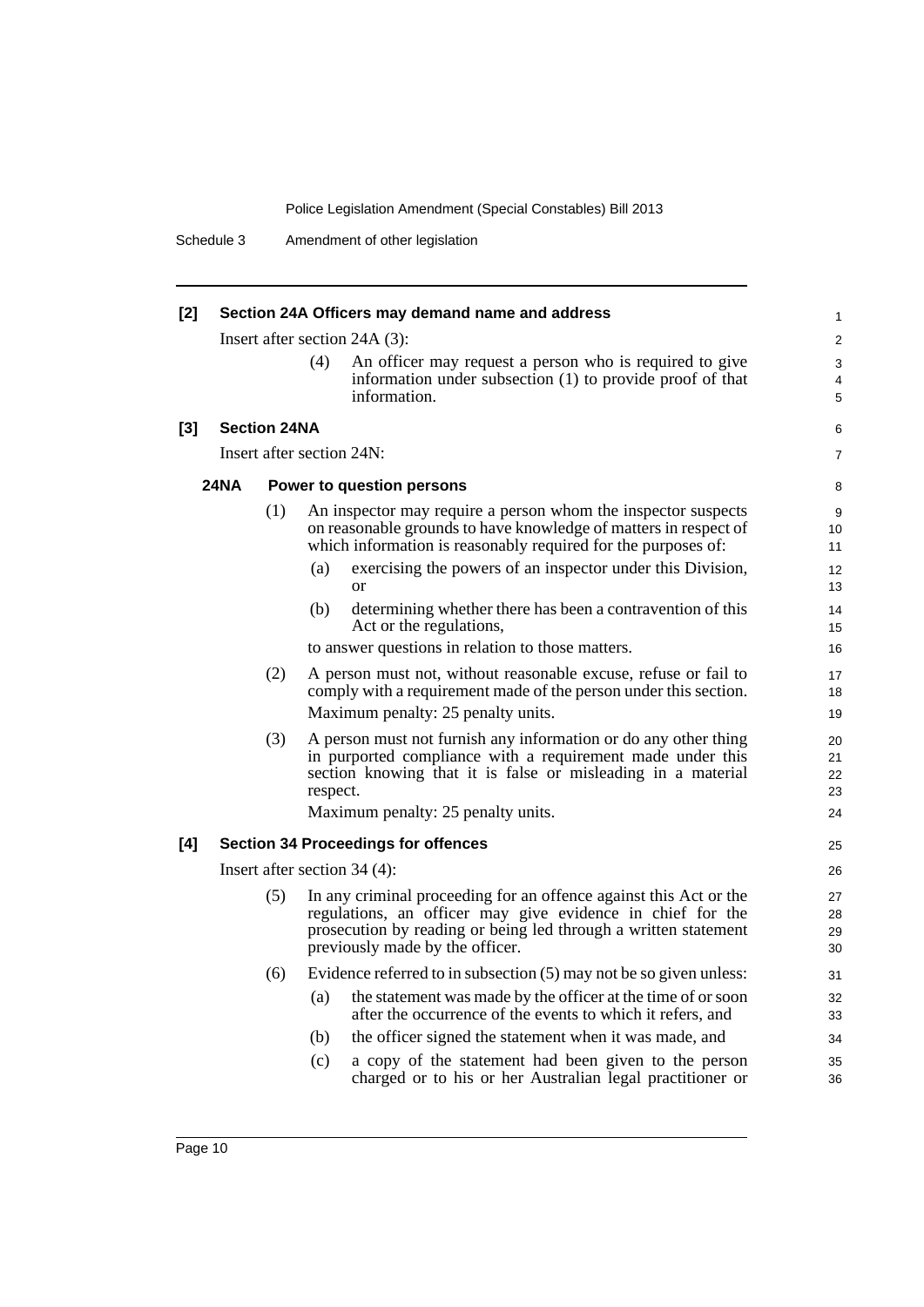Schedule 3 Amendment of other legislation

| $[2]$ | Section 24A Officers may demand name and address |                     |          |                                                                                                                                                                                                                                       |                            |
|-------|--------------------------------------------------|---------------------|----------|---------------------------------------------------------------------------------------------------------------------------------------------------------------------------------------------------------------------------------------|----------------------------|
|       |                                                  |                     |          | Insert after section $24A(3)$ :                                                                                                                                                                                                       | 2                          |
|       |                                                  |                     | (4)      | An officer may request a person who is required to give<br>information under subsection (1) to provide proof of that<br>information.                                                                                                  | 3<br>4<br>5                |
| $[3]$ |                                                  | <b>Section 24NA</b> |          |                                                                                                                                                                                                                                       | 6                          |
|       |                                                  |                     |          | Insert after section 24N:                                                                                                                                                                                                             | $\overline{7}$             |
|       |                                                  |                     |          |                                                                                                                                                                                                                                       |                            |
|       | <b>24NA</b>                                      |                     |          | Power to question persons                                                                                                                                                                                                             | 8                          |
|       |                                                  | (1)                 |          | An inspector may require a person whom the inspector suspects<br>on reasonable grounds to have knowledge of matters in respect of<br>which information is reasonably required for the purposes of:                                    | 9<br>10<br>11              |
|       |                                                  |                     | (a)      | exercising the powers of an inspector under this Division,<br><b>or</b>                                                                                                                                                               | 12<br>13                   |
|       |                                                  |                     | (b)      | determining whether there has been a contravention of this<br>Act or the regulations,                                                                                                                                                 | 14<br>15                   |
|       |                                                  |                     |          | to answer questions in relation to those matters.                                                                                                                                                                                     | 16                         |
|       | (2)                                              |                     |          | A person must not, without reasonable excuse, refuse or fail to<br>comply with a requirement made of the person under this section.                                                                                                   | 17<br>18                   |
|       | Maximum penalty: 25 penalty units.               |                     |          |                                                                                                                                                                                                                                       | 19                         |
|       |                                                  | (3)                 | respect. | A person must not furnish any information or do any other thing<br>in purported compliance with a requirement made under this<br>section knowing that it is false or misleading in a material<br>Maximum penalty: 25 penalty units.   | 20<br>21<br>22<br>23<br>24 |
| [4]   |                                                  |                     |          | <b>Section 34 Proceedings for offences</b>                                                                                                                                                                                            | 25                         |
|       |                                                  |                     |          | Insert after section $34(4)$ :                                                                                                                                                                                                        | 26                         |
|       |                                                  | (5)                 |          | In any criminal proceeding for an offence against this Act or the<br>regulations, an officer may give evidence in chief for the<br>prosecution by reading or being led through a written statement<br>previously made by the officer. | 27<br>28<br>29<br>30       |
|       |                                                  | (6)                 |          | Evidence referred to in subsection (5) may not be so given unless:                                                                                                                                                                    | 31                         |
|       |                                                  |                     | (a)      | the statement was made by the officer at the time of or soon<br>after the occurrence of the events to which it refers, and                                                                                                            | 32<br>33                   |
|       |                                                  |                     | (b)      | the officer signed the statement when it was made, and                                                                                                                                                                                | 34                         |
|       |                                                  |                     | (c)      | a copy of the statement had been given to the person<br>charged or to his or her Australian legal practitioner or                                                                                                                     | 35<br>36                   |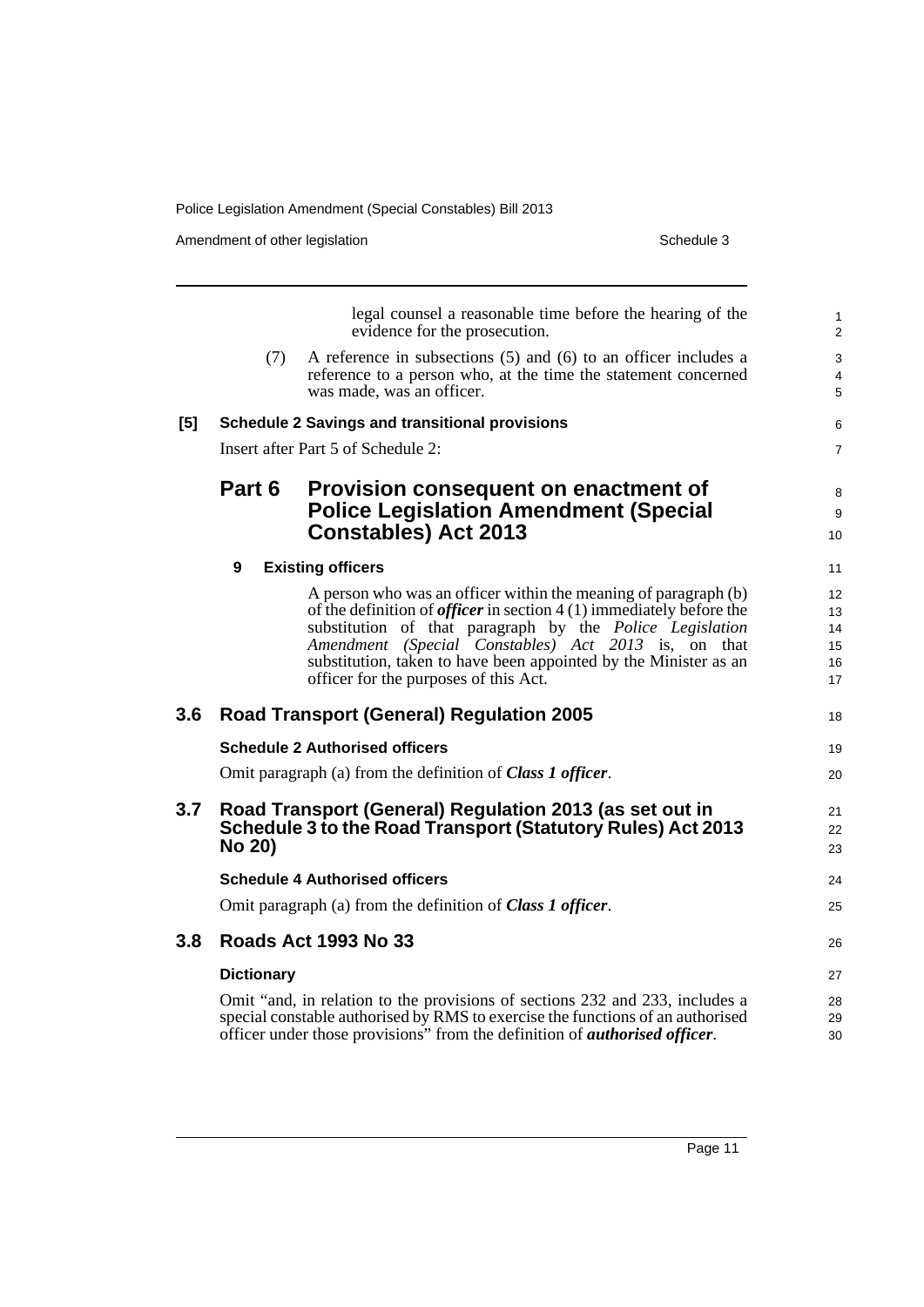|     | Schedule 3<br>Amendment of other legislation |                                                                                                                                                                                                                                                                                                                                                                                 |                |  |
|-----|----------------------------------------------|---------------------------------------------------------------------------------------------------------------------------------------------------------------------------------------------------------------------------------------------------------------------------------------------------------------------------------------------------------------------------------|----------------|--|
|     |                                              | legal counsel a reasonable time before the hearing of the<br>evidence for the prosecution.                                                                                                                                                                                                                                                                                      |                |  |
|     | (7)                                          | A reference in subsections $(5)$ and $(6)$ to an officer includes a<br>reference to a person who, at the time the statement concerned<br>was made, was an officer.                                                                                                                                                                                                              |                |  |
| [5] |                                              | <b>Schedule 2 Savings and transitional provisions</b>                                                                                                                                                                                                                                                                                                                           |                |  |
|     |                                              | Insert after Part 5 of Schedule 2:                                                                                                                                                                                                                                                                                                                                              |                |  |
|     | Part 6                                       | Provision consequent on enactment of<br><b>Police Legislation Amendment (Special</b><br><b>Constables) Act 2013</b>                                                                                                                                                                                                                                                             |                |  |
|     | 9                                            | <b>Existing officers</b>                                                                                                                                                                                                                                                                                                                                                        | 11             |  |
|     |                                              | A person who was an officer within the meaning of paragraph (b)<br>of the definition of <i>officer</i> in section $4(1)$ immediately before the<br>substitution of that paragraph by the Police Legislation<br>Amendment (Special Constables) Act 2013 is, on that<br>substitution, taken to have been appointed by the Minister as an<br>officer for the purposes of this Act. | 13<br>14<br>16 |  |
| 3.6 |                                              | <b>Road Transport (General) Regulation 2005</b>                                                                                                                                                                                                                                                                                                                                 |                |  |
|     |                                              | <b>Schedule 2 Authorised officers</b>                                                                                                                                                                                                                                                                                                                                           |                |  |
|     |                                              | Omit paragraph (a) from the definition of <b>Class 1 officer</b> .                                                                                                                                                                                                                                                                                                              |                |  |
| 3.7 | <b>No 20)</b>                                | Road Transport (General) Regulation 2013 (as set out in<br>Schedule 3 to the Road Transport (Statutory Rules) Act 2013                                                                                                                                                                                                                                                          |                |  |
|     |                                              | <b>Schedule 4 Authorised officers</b>                                                                                                                                                                                                                                                                                                                                           |                |  |
|     |                                              | Omit paragraph (a) from the definition of <b>Class 1 officer</b> .                                                                                                                                                                                                                                                                                                              |                |  |
| 3.8 |                                              | <b>Roads Act 1993 No 33</b>                                                                                                                                                                                                                                                                                                                                                     |                |  |
|     | <b>Dictionary</b>                            | Omit "and, in relation to the provisions of sections 232 and 233, includes a<br>special constable authorised by RMS to exercise the functions of an authorised<br>officer under those provisions" from the definition of <i>authorised officer</i> .                                                                                                                            |                |  |
|     |                                              |                                                                                                                                                                                                                                                                                                                                                                                 |                |  |